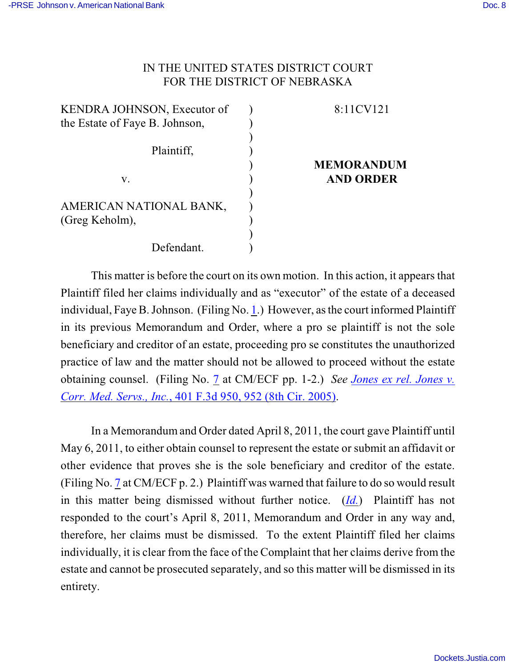# IN THE UNITED STATES DISTRICT COURT FOR THE DISTRICT OF NEBRASKA

| KENDRA JOHNSON, Executor of    |  |
|--------------------------------|--|
| the Estate of Faye B. Johnson, |  |
|                                |  |
| Plaintiff,                     |  |
|                                |  |
| V.                             |  |
|                                |  |
| AMERICAN NATIONAL BANK,        |  |
| (Greg Keholm),                 |  |
|                                |  |
| Defendant.                     |  |

# 8:11CV121

## **MEMORANDUM AND ORDER**

This matter is before the court on its own motion. In this action, it appears that Plaintiff filed her claims individually and as "executor" of the estate of a deceased individual, Faye B. Johnson. (Filing No. [1](http://ecf.ned.uscourts.gov/doc1/11302241462).) However, as the court informed Plaintiff in its previous Memorandum and Order, where a pro se plaintiff is not the sole beneficiary and creditor of an estate, proceeding pro se constitutes the unauthorized practice of law and the matter should not be allowed to proceed without the estate obtaining counsel. (Filing No. [7](http://ecf.ned.uscourts.gov/doc1/11302245718) at CM/ECF pp. 1-2.) *See [Jones ex rel. Jones v.](http://www.westlaw.com/find/default.wl?rs=CLWP3.0&vr=2.0&cite=401+F.3d+950) Corr. Med. Servs., Inc.*[, 401 F.3d 950, 952 \(8th Cir. 2005\)](http://www.westlaw.com/find/default.wl?rs=CLWP3.0&vr=2.0&cite=401+F.3d+950).

In a Memorandum and Order dated April 8, 2011, the court gave Plaintiff until May 6, 2011, to either obtain counsel to represent the estate or submit an affidavit or other evidence that proves she is the sole beneficiary and creditor of the estate. (Filing No. [7](http://ecf.ned.uscourts.gov/doc1/11302245718) at CM/ECF p. 2.) Plaintiff was warned that failure to do so would result in this matter being dismissed without further notice. (*[Id.](https://ecf.ned.uscourts.gov/doc1/11312245718)*) Plaintiff has not responded to the court's April 8, 2011, Memorandum and Order in any way and, therefore, her claims must be dismissed. To the extent Plaintiff filed her claims individually, it is clear from the face of the Complaint that her claims derive from the estate and cannot be prosecuted separately, and so this matter will be dismissed in its entirety.